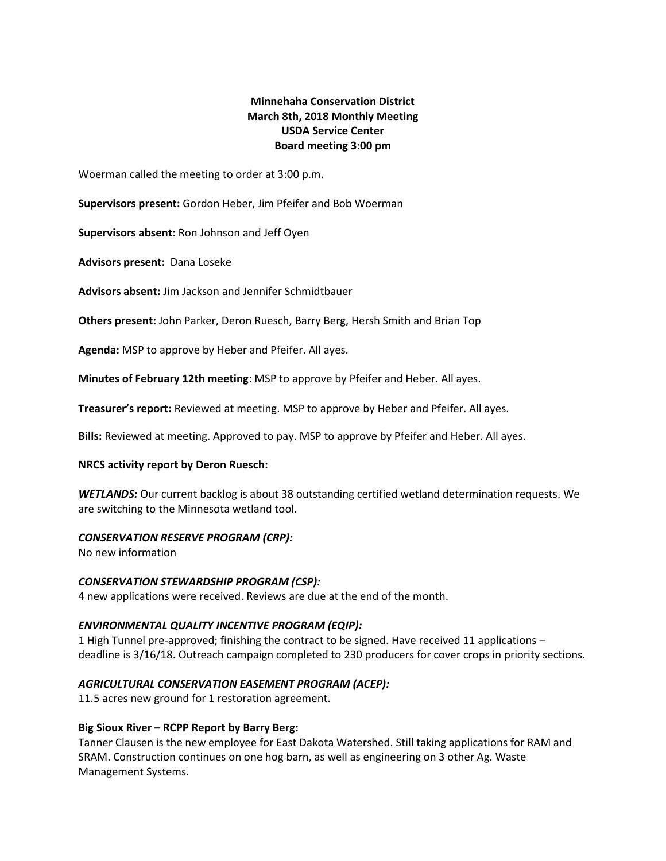# **Minnehaha Conservation District March 8th, 2018 Monthly Meeting USDA Service Center Board meeting 3:00 pm**

Woerman called the meeting to order at 3:00 p.m.

**Supervisors present:** Gordon Heber, Jim Pfeifer and Bob Woerman

**Supervisors absent:** Ron Johnson and Jeff Oyen

**Advisors present:** Dana Loseke

**Advisors absent:** Jim Jackson and Jennifer Schmidtbauer

**Others present:** John Parker, Deron Ruesch, Barry Berg, Hersh Smith and Brian Top

**Agenda:** MSP to approve by Heber and Pfeifer. All ayes.

**Minutes of February 12th meeting**: MSP to approve by Pfeifer and Heber. All ayes.

**Treasurer's report:** Reviewed at meeting. MSP to approve by Heber and Pfeifer. All ayes.

**Bills:** Reviewed at meeting. Approved to pay. MSP to approve by Pfeifer and Heber. All ayes.

### **NRCS activity report by Deron Ruesch:**

*WETLANDS:* Our current backlog is about 38 outstanding certified wetland determination requests. We are switching to the Minnesota wetland tool.

### *CONSERVATION RESERVE PROGRAM (CRP):*

No new information

### *CONSERVATION STEWARDSHIP PROGRAM (CSP):*

4 new applications were received. Reviews are due at the end of the month.

# *ENVIRONMENTAL QUALITY INCENTIVE PROGRAM (EQIP):*

1 High Tunnel pre-approved; finishing the contract to be signed. Have received 11 applications – deadline is 3/16/18. Outreach campaign completed to 230 producers for cover crops in priority sections.

# *AGRICULTURAL CONSERVATION EASEMENT PROGRAM (ACEP):*

11.5 acres new ground for 1 restoration agreement.

### **Big Sioux River – RCPP Report by Barry Berg:**

Tanner Clausen is the new employee for East Dakota Watershed. Still taking applications for RAM and SRAM. Construction continues on one hog barn, as well as engineering on 3 other Ag. Waste Management Systems.